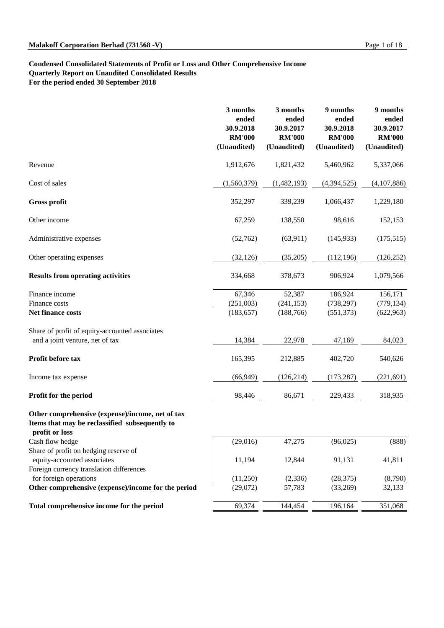## **Condensed Consolidated Statements of Profit or Loss and Other Comprehensive Income Quarterly Report on Unaudited Consolidated Results For the period ended 30 September 2018**

Foreign currency translation differences Foreign currency translation differences<br>for foreign operations (11,250) (2,336) (28,375) (8,790) Other comprehensive (expense)/income for the period

Total comprehensive income for the period

| (11,250) | (2,336) | (28, 375) | (8,790) |
|----------|---------|-----------|---------|
| (29,072) | 57,783  | (33,269)  | 32,133  |
|          |         |           |         |
| 69,374   | 144,454 | 196,164   | 351,068 |
|          |         |           |         |

|                                                                                                                      | 3 months<br>ended<br>30.9.2018<br><b>RM'000</b><br>(Unaudited) | 3 months<br>ended<br>30.9.2017<br><b>RM'000</b><br>(Unaudited) | 9 months<br>ended<br>30.9.2018<br><b>RM'000</b><br>(Unaudited) | 9 months<br>ended<br>30.9.2017<br><b>RM'000</b><br>(Unaudited) |
|----------------------------------------------------------------------------------------------------------------------|----------------------------------------------------------------|----------------------------------------------------------------|----------------------------------------------------------------|----------------------------------------------------------------|
| Revenue                                                                                                              | 1,912,676                                                      | 1,821,432                                                      | 5,460,962                                                      | 5,337,066                                                      |
| Cost of sales                                                                                                        | (1,560,379)                                                    | (1,482,193)                                                    | (4,394,525)                                                    | (4,107,886)                                                    |
| <b>Gross profit</b>                                                                                                  | 352,297                                                        | 339,239                                                        | 1,066,437                                                      | 1,229,180                                                      |
| Other income                                                                                                         | 67,259                                                         | 138,550                                                        | 98,616                                                         | 152,153                                                        |
| Administrative expenses                                                                                              | (52,762)                                                       | (63,911)                                                       | (145, 933)                                                     | (175,515)                                                      |
| Other operating expenses                                                                                             | (32, 126)                                                      | (35,205)                                                       | (112, 196)                                                     | (126, 252)                                                     |
| <b>Results from operating activities</b>                                                                             | 334,668                                                        | 378,673                                                        | 906,924                                                        | 1,079,566                                                      |
| Finance income<br>Finance costs<br><b>Net finance costs</b>                                                          | 67,346<br>(251,003)<br>(183, 657)                              | 52,387<br>(241, 153)<br>(188, 766)                             | 186,924<br>(738, 297)<br>(551, 373)                            | 156,171<br>(779, 134)<br>(622, 963)                            |
| Share of profit of equity-accounted associates<br>and a joint venture, net of tax                                    | 14,384                                                         | 22,978                                                         | 47,169                                                         | 84,023                                                         |
| Profit before tax                                                                                                    | 165,395                                                        | 212,885                                                        | 402,720                                                        | 540,626                                                        |
| Income tax expense                                                                                                   | (66, 949)                                                      | (126, 214)                                                     | (173, 287)                                                     | (221,691)                                                      |
| Profit for the period                                                                                                | 98,446                                                         | 86,671                                                         | 229,433                                                        | 318,935                                                        |
| Other comprehensive (expense)/income, net of tax<br>Items that may be reclassified subsequently to<br>profit or loss |                                                                |                                                                |                                                                |                                                                |
| Cash flow hedge                                                                                                      | (29,016)                                                       | 47,275                                                         | (96, 025)                                                      | (888)                                                          |
| Share of profit on hedging reserve of<br>equity-accounted associates                                                 | 11,194                                                         | 12,844                                                         | 91,131                                                         | 41,811                                                         |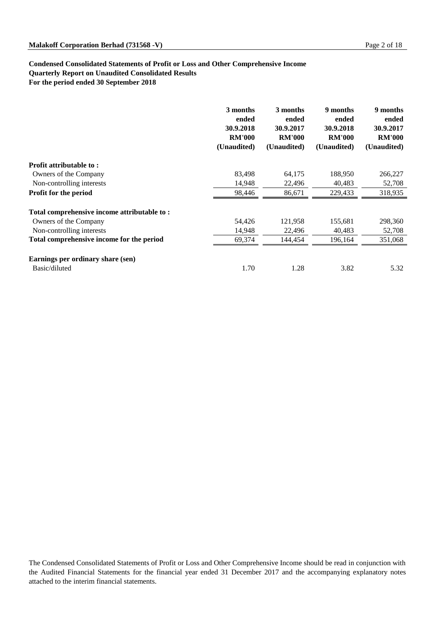## **Condensed Consolidated Statements of Profit or Loss and Other Comprehensive Income Quarterly Report on Unaudited Consolidated Results For the period ended 30 September 2018**

|                                             | 3 months<br>ended<br>30.9.2018<br><b>RM'000</b><br>(Unaudited) | 3 months<br>ended<br>30.9.2017<br><b>RM'000</b><br>(Unaudited) | 9 months<br>ended<br>30.9.2018<br><b>RM'000</b><br>(Unaudited) | 9 months<br>ended<br>30.9.2017<br><b>RM'000</b><br>(Unaudited) |
|---------------------------------------------|----------------------------------------------------------------|----------------------------------------------------------------|----------------------------------------------------------------|----------------------------------------------------------------|
| <b>Profit attributable to:</b>              |                                                                |                                                                |                                                                |                                                                |
| Owners of the Company                       | 83,498                                                         | 64,175                                                         | 188,950                                                        | 266,227                                                        |
| Non-controlling interests                   | 14,948                                                         | 22,496                                                         | 40,483                                                         | 52,708                                                         |
| <b>Profit for the period</b>                | 98,446                                                         | 86,671                                                         | 229,433                                                        | 318,935                                                        |
| Total comprehensive income attributable to: |                                                                |                                                                |                                                                |                                                                |
| Owners of the Company                       | 54,426                                                         | 121,958                                                        | 155,681                                                        | 298,360                                                        |
| Non-controlling interests                   | 14,948                                                         | 22,496                                                         | 40,483                                                         | 52,708                                                         |
| Total comprehensive income for the period   | 69,374                                                         | 144,454                                                        | 196,164                                                        | 351,068                                                        |
| Earnings per ordinary share (sen)           |                                                                |                                                                |                                                                |                                                                |
| Basic/diluted                               | 1.70                                                           | 1.28                                                           | 3.82                                                           | 5.32                                                           |

The Condensed Consolidated Statements of Profit or Loss and Other Comprehensive Income should be read in conjunction with the Audited Financial Statements for the financial year ended 31 December 2017 and the accompanying explanatory notes attached to the interim financial statements.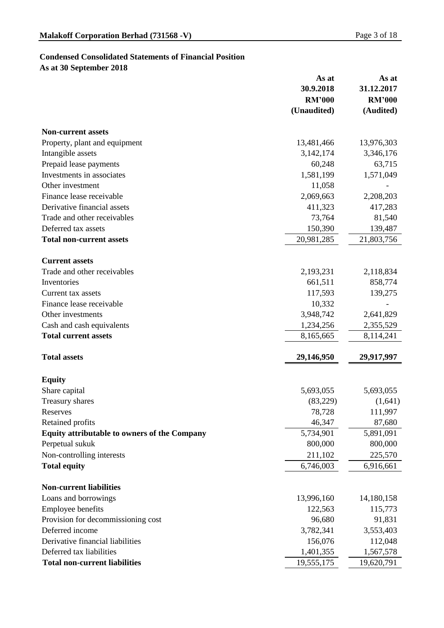# **Condensed Consolidated Statements of Financial Position**

**As at 30 September 2018**

|                                              | As at         | As at         |
|----------------------------------------------|---------------|---------------|
|                                              | 30.9.2018     | 31.12.2017    |
|                                              | <b>RM'000</b> | <b>RM'000</b> |
|                                              | (Unaudited)   | (Audited)     |
| <b>Non-current assets</b>                    |               |               |
| Property, plant and equipment                | 13,481,466    | 13,976,303    |
| Intangible assets                            | 3, 142, 174   | 3,346,176     |
| Prepaid lease payments                       | 60,248        | 63,715        |
| Investments in associates                    | 1,581,199     | 1,571,049     |
| Other investment                             | 11,058        |               |
| Finance lease receivable                     | 2,069,663     | 2,208,203     |
| Derivative financial assets                  | 411,323       | 417,283       |
| Trade and other receivables                  | 73,764        | 81,540        |
| Deferred tax assets                          | 150,390       | 139,487       |
| <b>Total non-current assets</b>              | 20,981,285    | 21,803,756    |
| <b>Current assets</b>                        |               |               |
| Trade and other receivables                  | 2,193,231     | 2,118,834     |
| Inventories                                  | 661,511       | 858,774       |
| Current tax assets                           | 117,593       | 139,275       |
| Finance lease receivable                     | 10,332        |               |
| Other investments                            | 3,948,742     | 2,641,829     |
| Cash and cash equivalents                    | 1,234,256     | 2,355,529     |
| <b>Total current assets</b>                  | 8,165,665     | 8,114,241     |
|                                              |               |               |
| <b>Total assets</b>                          | 29,146,950    | 29,917,997    |
| <b>Equity</b>                                |               |               |
| Share capital                                | 5,693,055     | 5,693,055     |
| <b>Treasury shares</b>                       | (83,229)      | (1,641)       |
| Reserves                                     | 78,728        | 111,997       |
| <b>Retained profits</b>                      | 46,347        | 87,680        |
| Equity attributable to owners of the Company | 5,734,901     | 5,891,091     |
| Perpetual sukuk                              | 800,000       | 800,000       |
| Non-controlling interests                    | 211,102       | 225,570       |
| <b>Total equity</b>                          | 6,746,003     | 6,916,661     |
| <b>Non-current liabilities</b>               |               |               |
| Loans and borrowings                         | 13,996,160    | 14,180,158    |
| <b>Employee benefits</b>                     | 122,563       | 115,773       |
| Provision for decommissioning cost           | 96,680        | 91,831        |
| Deferred income                              | 3,782,341     | 3,553,403     |
| Derivative financial liabilities             | 156,076       | 112,048       |
| Deferred tax liabilities                     | 1,401,355     | 1,567,578     |
| <b>Total non-current liabilities</b>         | 19,555,175    | 19,620,791    |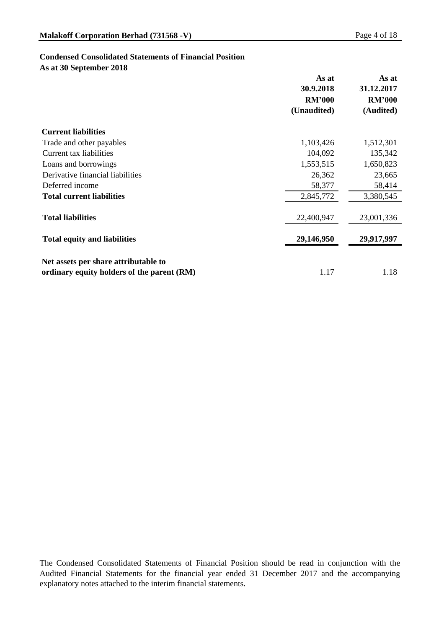## **Condensed Consolidated Statements of Financial Position**

**As at 30 September 2018**

|                                            | As at         | As at         |
|--------------------------------------------|---------------|---------------|
|                                            | 30.9.2018     | 31.12.2017    |
|                                            | <b>RM'000</b> | <b>RM'000</b> |
|                                            | (Unaudited)   | (Audited)     |
| <b>Current liabilities</b>                 |               |               |
| Trade and other payables                   | 1,103,426     | 1,512,301     |
| Current tax liabilities                    | 104,092       | 135,342       |
| Loans and borrowings                       | 1,553,515     | 1,650,823     |
| Derivative financial liabilities           | 26,362        | 23,665        |
| Deferred income                            | 58,377        | 58,414        |
| <b>Total current liabilities</b>           | 2,845,772     | 3,380,545     |
| <b>Total liabilities</b>                   | 22,400,947    | 23,001,336    |
| <b>Total equity and liabilities</b>        | 29,146,950    | 29,917,997    |
| Net assets per share attributable to       |               |               |
| ordinary equity holders of the parent (RM) | 1.17          | 1.18          |

The Condensed Consolidated Statements of Financial Position should be read in conjunction with the Audited Financial Statements for the financial year ended 31 December 2017 and the accompanying explanatory notes attached to the interim financial statements.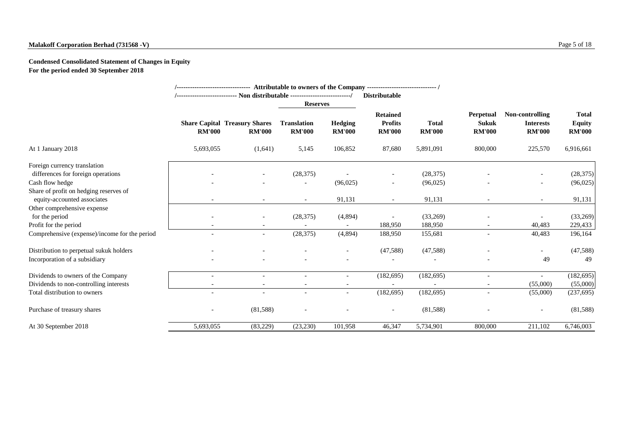# **Malakoff Corporation Berhad (731568 -V)** Page 5 of 18

# **Condensed Consolidated Statement of Changes in Equity For the period ended 30 September 2018**

|                                                                       |               | /-------------------------------- Attributable to owners of the Company ---------------------------------- / |                                     |                                 | <b>Distributable</b>                               |                               |                                                   |                                                      |                                                |
|-----------------------------------------------------------------------|---------------|--------------------------------------------------------------------------------------------------------------|-------------------------------------|---------------------------------|----------------------------------------------------|-------------------------------|---------------------------------------------------|------------------------------------------------------|------------------------------------------------|
|                                                                       |               |                                                                                                              |                                     | <b>Reserves</b>                 |                                                    |                               |                                                   |                                                      |                                                |
|                                                                       | <b>RM'000</b> | <b>Share Capital Treasury Shares</b><br><b>RM'000</b>                                                        | <b>Translation</b><br><b>RM'000</b> | <b>Hedging</b><br><b>RM'000</b> | <b>Retained</b><br><b>Profits</b><br><b>RM'000</b> | <b>Total</b><br><b>RM'000</b> | <b>Perpetual</b><br><b>Sukuk</b><br><b>RM'000</b> | Non-controlling<br><b>Interests</b><br><b>RM'000</b> | <b>Total</b><br><b>Equity</b><br><b>RM'000</b> |
| At 1 January 2018                                                     | 5,693,055     | (1,641)                                                                                                      | 5,145                               | 106,852                         | 87,680                                             | 5,891,091                     | 800,000                                           | 225,570                                              | 6,916,661                                      |
| Foreign currency translation                                          |               |                                                                                                              |                                     |                                 |                                                    |                               |                                                   |                                                      |                                                |
| differences for foreign operations                                    |               |                                                                                                              | (28, 375)                           |                                 |                                                    | (28, 375)                     |                                                   |                                                      | (28, 375)                                      |
| Cash flow hedge                                                       |               |                                                                                                              |                                     | (96,025)                        | $\overline{\phantom{a}}$                           | (96,025)                      |                                                   | $\overline{\phantom{a}}$                             | (96,025)                                       |
| Share of profit on hedging reserves of<br>equity-accounted associates | $\sim$        |                                                                                                              | $\sim$                              | 91,131                          | $\sim$                                             | 91,131                        |                                                   | $\overline{\phantom{a}}$                             | 91,131                                         |
| Other comprehensive expense                                           |               |                                                                                                              |                                     |                                 |                                                    |                               |                                                   |                                                      |                                                |
| for the period                                                        |               | $\sim$                                                                                                       | (28, 375)                           | (4,894)                         |                                                    | (33,269)                      |                                                   |                                                      | (33,269)                                       |
| Profit for the period                                                 |               |                                                                                                              |                                     |                                 | 188,950                                            | 188,950                       |                                                   | 40,483                                               | 229,433                                        |
| Comprehensive (expense)/income for the period                         |               | $\sim$                                                                                                       | (28, 375)                           | (4,894)                         | 188,950                                            | 155,681                       | $\overline{\phantom{a}}$                          | 40,483                                               | 196,164                                        |
| Distribution to perpetual sukuk holders                               |               |                                                                                                              |                                     |                                 | (47,588)                                           | (47,588)                      |                                                   | $\sim$                                               | (47,588)                                       |
| Incorporation of a subsidiary                                         |               |                                                                                                              |                                     |                                 |                                                    |                               |                                                   | 49                                                   | 49                                             |
| Dividends to owners of the Company                                    |               |                                                                                                              |                                     | $\overline{\phantom{a}}$        | (182, 695)                                         | (182, 695)                    | $\overline{a}$                                    | $\overline{\phantom{a}}$                             | (182, 695)                                     |
| Dividends to non-controlling interests                                |               |                                                                                                              |                                     |                                 |                                                    |                               |                                                   | (55,000)                                             | (55,000)                                       |
| Total distribution to owners                                          |               |                                                                                                              |                                     |                                 | (182, 695)                                         | (182, 695)                    |                                                   | (55,000)                                             | (237, 695)                                     |
| Purchase of treasury shares                                           |               | (81,588)                                                                                                     | $\overline{\phantom{a}}$            |                                 | $\overline{\phantom{a}}$                           | (81,588)                      |                                                   | $\overline{\phantom{a}}$                             | (81,588)                                       |
| At 30 September 2018                                                  | 5,693,055     | (83,229)                                                                                                     | (23,230)                            | 101,958                         | 46,347                                             | 5,734,901                     | 800,000                                           | 211,102                                              | 6,746,003                                      |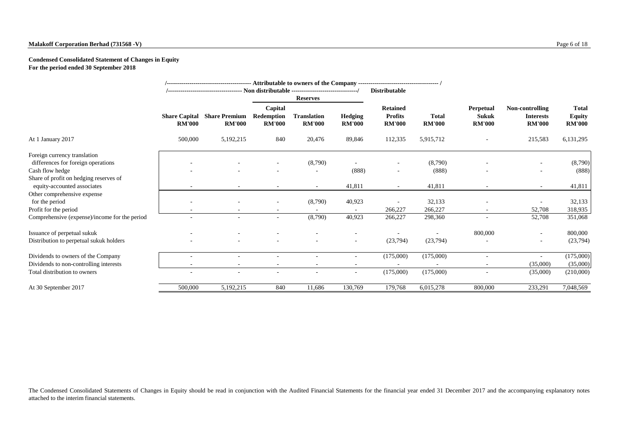## **Malakoff Corporation Berhad (731568 -V)** Page 6 of 18

## **Condensed Consolidated Statement of Changes in Equity For the period ended 30 September 2018**

|                                                                       |                                       | /----------------------------------- Non distributable -------------------------------/ |                                               | <b>Reserves</b>                     |                                 | <b>Distributable</b>                               |                               |                                                   |                                                      |                                                |
|-----------------------------------------------------------------------|---------------------------------------|-----------------------------------------------------------------------------------------|-----------------------------------------------|-------------------------------------|---------------------------------|----------------------------------------------------|-------------------------------|---------------------------------------------------|------------------------------------------------------|------------------------------------------------|
|                                                                       | <b>Share Capital</b><br><b>RM'000</b> | <b>Share Premium</b><br><b>RM'000</b>                                                   | Capital<br><b>Redemption</b><br><b>RM'000</b> | <b>Translation</b><br><b>RM'000</b> | <b>Hedging</b><br><b>RM'000</b> | <b>Retained</b><br><b>Profits</b><br><b>RM'000</b> | <b>Total</b><br><b>RM'000</b> | <b>Perpetual</b><br><b>Sukuk</b><br><b>RM'000</b> | Non-controlling<br><b>Interests</b><br><b>RM'000</b> | <b>Total</b><br><b>Equity</b><br><b>RM'000</b> |
| At 1 January 2017                                                     | 500,000                               | 5, 192, 215                                                                             | 840                                           | 20,476                              | 89,846                          | 112,335                                            | 5,915,712                     |                                                   | 215,583                                              | 6,131,295                                      |
| Foreign currency translation<br>differences for foreign operations    |                                       |                                                                                         |                                               | (8,790)                             |                                 |                                                    | (8,790)                       |                                                   |                                                      | (8,790)                                        |
| Cash flow hedge                                                       |                                       |                                                                                         |                                               |                                     | (888)                           |                                                    | (888)                         |                                                   |                                                      | (888)                                          |
| Share of profit on hedging reserves of<br>equity-accounted associates |                                       |                                                                                         | $\overline{\phantom{a}}$                      | $\sim$                              | 41,811                          | $\overline{\phantom{a}}$                           | 41,811                        |                                                   | $\sim$                                               | 41,811                                         |
| Other comprehensive expense<br>for the period                         |                                       |                                                                                         |                                               | (8,790)                             | 40,923                          |                                                    | 32,133                        |                                                   |                                                      | 32,133                                         |
| Profit for the period                                                 |                                       |                                                                                         |                                               |                                     |                                 | 266,227                                            | 266,227                       |                                                   | 52,708                                               | 318,935                                        |
| Comprehensive (expense)/income for the period                         |                                       |                                                                                         | $\overline{\phantom{a}}$                      | (8,790)                             | 40,923                          | 266,227                                            | 298,360                       |                                                   | 52,708                                               | 351,068                                        |
| Issuance of perpetual sukuk                                           |                                       |                                                                                         |                                               |                                     |                                 |                                                    |                               | 800,000                                           | $\sim$                                               | 800,000                                        |
| Distribution to perpetual sukuk holders                               |                                       |                                                                                         |                                               |                                     |                                 | (23,794)                                           | (23,794)                      |                                                   | $\sim$                                               | (23,794)                                       |
| Dividends to owners of the Company                                    |                                       |                                                                                         |                                               |                                     |                                 | (175,000)                                          | (175,000)                     | $\sim$                                            |                                                      | (175,000)                                      |
| Dividends to non-controlling interests                                |                                       |                                                                                         |                                               | $\overline{\phantom{a}}$            |                                 |                                                    |                               |                                                   | (35,000)                                             | (35,000)                                       |
| Total distribution to owners                                          | $\blacksquare$                        |                                                                                         | $\blacksquare$                                | $\overline{\phantom{a}}$            |                                 | (175,000)                                          | (175,000)                     |                                                   | (35,000)                                             | (210,000)                                      |
| At 30 September 2017                                                  | 500,000                               | 5,192,215                                                                               | 840                                           | 11,686                              | 130,769                         | 179,768                                            | 6,015,278                     | 800,000                                           | 233,291                                              | 7,048,569                                      |

The Condensed Consolidated Statements of Changes in Equity should be read in conjunction with the Audited Financial Statements for the financial year ended 31 December 2017 and the accompanying explanatory notes attached to the interim financial statements.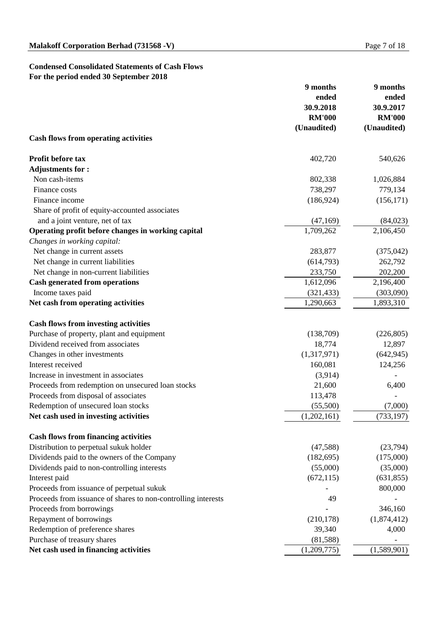## **Condensed Consolidated Statements of Cash Flows For the period ended 30 September 2018**

|                                                               | 9 months      | 9 months      |  |
|---------------------------------------------------------------|---------------|---------------|--|
|                                                               | ended         | ended         |  |
|                                                               | 30.9.2018     | 30.9.2017     |  |
|                                                               | <b>RM'000</b> | <b>RM'000</b> |  |
|                                                               | (Unaudited)   | (Unaudited)   |  |
| <b>Cash flows from operating activities</b>                   |               |               |  |
| <b>Profit before tax</b>                                      | 402,720       | 540,626       |  |
| <b>Adjustments for:</b>                                       |               |               |  |
| Non cash-items                                                | 802,338       | 1,026,884     |  |
| Finance costs                                                 | 738,297       | 779,134       |  |
| Finance income                                                | (186, 924)    | (156, 171)    |  |
| Share of profit of equity-accounted associates                |               |               |  |
| and a joint venture, net of tax                               | (47,169)      | (84,023)      |  |
| Operating profit before changes in working capital            | 1,709,262     | 2,106,450     |  |
| Changes in working capital:                                   |               |               |  |
| Net change in current assets                                  | 283,877       | (375, 042)    |  |
| Net change in current liabilities                             | (614, 793)    | 262,792       |  |
| Net change in non-current liabilities                         | 233,750       | 202,200       |  |
| <b>Cash generated from operations</b>                         | 1,612,096     | 2,196,400     |  |
| Income taxes paid                                             | (321, 433)    | (303,090)     |  |
| Net cash from operating activities                            | 1,290,663     | 1,893,310     |  |
| <b>Cash flows from investing activities</b>                   |               |               |  |
| Purchase of property, plant and equipment                     | (138,709)     | (226, 805)    |  |
| Dividend received from associates                             | 18,774        | 12,897        |  |
| Changes in other investments                                  | (1,317,971)   | (642, 945)    |  |
| Interest received                                             | 160,081       | 124,256       |  |
| Increase in investment in associates                          | (3,914)       |               |  |
| Proceeds from redemption on unsecured loan stocks             | 21,600        | 6,400         |  |
| Proceeds from disposal of associates                          | 113,478       |               |  |
| Redemption of unsecured loan stocks                           | (55,500)      | (7,000)       |  |
| Net cash used in investing activities                         | (1,202,161)   | (733, 197)    |  |
| <b>Cash flows from financing activities</b>                   |               |               |  |
| Distribution to perpetual sukuk holder                        | (47,588)      | (23,794)      |  |
| Dividends paid to the owners of the Company                   | (182, 695)    | (175,000)     |  |
| Dividends paid to non-controlling interests                   | (55,000)      | (35,000)      |  |
| Interest paid                                                 | (672, 115)    | (631, 855)    |  |
| Proceeds from issuance of perpetual sukuk                     |               | 800,000       |  |
| Proceeds from issuance of shares to non-controlling interests | 49            |               |  |
| Proceeds from borrowings                                      |               | 346,160       |  |
| Repayment of borrowings                                       | (210, 178)    | (1,874,412)   |  |
| Redemption of preference shares                               | 39,340        | 4,000         |  |
| Purchase of treasury shares                                   | (81, 588)     |               |  |
| Net cash used in financing activities                         | (1,209,775)   | (1,589,901)   |  |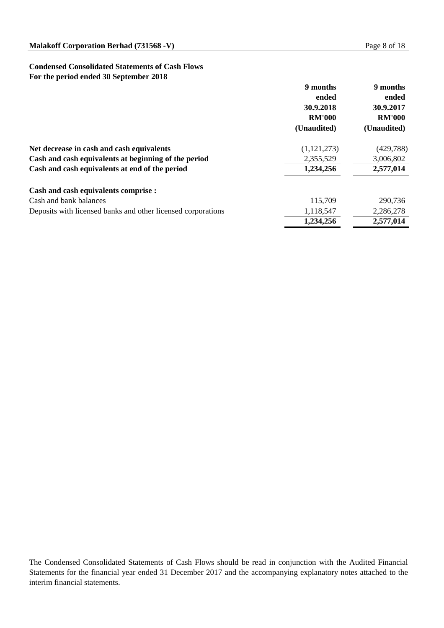## **Condensed Consolidated Statements of Cash Flows For the period ended 30 September 2018**

|                                                              | 9 months<br>ended<br>30.9.2018<br><b>RM'000</b><br>(Unaudited) | 9 months<br>ended<br>30.9.2017<br><b>RM'000</b><br>(Unaudited) |
|--------------------------------------------------------------|----------------------------------------------------------------|----------------------------------------------------------------|
| Net decrease in cash and cash equivalents                    | (1,121,273)                                                    | (429, 788)                                                     |
| Cash and cash equivalents at beginning of the period         | 2,355,529                                                      | 3,006,802                                                      |
| Cash and cash equivalents at end of the period               | 1,234,256                                                      | 2,577,014                                                      |
| <b>Cash and cash equivalents comprise :</b>                  |                                                                |                                                                |
| Cash and bank balances                                       | 115,709                                                        | 290,736                                                        |
| Deposits with licensed banks and other licensed corporations | 1,118,547                                                      | 2,286,278                                                      |
|                                                              | 1,234,256                                                      | 2,577,014                                                      |

The Condensed Consolidated Statements of Cash Flows should be read in conjunction with the Audited Financial Statements for the financial year ended 31 December 2017 and the accompanying explanatory notes attached to the interim financial statements.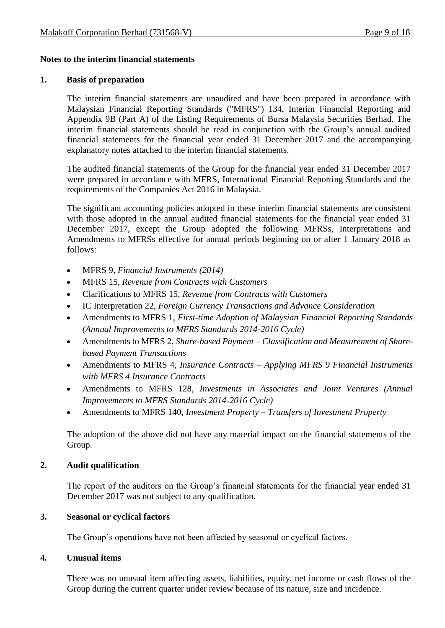## **Notes to the interim financial statements**

### **1. Basis of preparation**

The interim financial statements are unaudited and have been prepared in accordance with Malaysian Financial Reporting Standards ("MFRS") 134, Interim Financial Reporting and Appendix 9B (Part A) of the Listing Requirements of Bursa Malaysia Securities Berhad. The interim financial statements should be read in conjunction with the Group's annual audited financial statements for the financial year ended 31 December 2017 and the accompanying explanatory notes attached to the interim financial statements.

The audited financial statements of the Group for the financial year ended 31 December 2017 were prepared in accordance with MFRS, International Financial Reporting Standards and the requirements of the Companies Act 2016 in Malaysia.

The significant accounting policies adopted in these interim financial statements are consistent with those adopted in the annual audited financial statements for the financial year ended 31 December 2017, except the Group adopted the following MFRSs, Interpretations and Amendments to MFRSs effective for annual periods beginning on or after 1 January 2018 as follows:

- MFRS 9, *Financial Instruments (2014)*
- MFRS 15, *Revenue from Contracts with Customers*
- Clarifications to MFRS 15, *Revenue from Contracts with Customers*
- IC Interpretation 22, *Foreign Currency Transactions and Advance Consideration*
- Amendments to MFRS 1, *[First-time Adoption of Malaysian Financial Reporting Standards](http://masb.org.my/pdf/MFRS%201%20042015.pdf) (Annual Improvements to MFRS Standards 2014-2016 Cycle)*
- Amendments to MFRS 2, *Share-based Payment – Classification and Measurement of Sharebased Payment Transactions*
- Amendments to MFRS 4, *Insurance Contracts – Applying MFRS 9 Financial Instruments with MFRS 4 Insurance Contracts*
- Amendments to MFRS 128, *Investments in Associates and Joint Ventures (Annual Improvements to MFRS Standards 2014-2016 Cycle)*
- Amendments to MFRS 140, *[Investment Property](http://masb.org.my/pdf/MFRS%20140%20042015.pdf) – Transfers of Investment Property*

The adoption of the above did not have any material impact on the financial statements of the Group.

## **2. Audit qualification**

The report of the auditors on the Group's financial statements for the financial year ended 31 December 2017 was not subject to any qualification.

## **3. Seasonal or cyclical factors**

The Group's operations have not been affected by seasonal or cyclical factors.

## **4. Unusual items**

There was no unusual item affecting assets, liabilities, equity, net income or cash flows of the Group during the current quarter under review because of its nature, size and incidence.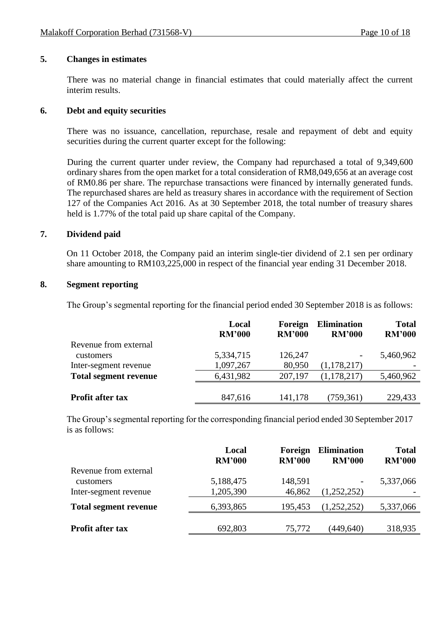#### **5. Changes in estimates**

There was no material change in financial estimates that could materially affect the current interim results.

### **6. Debt and equity securities**

There was no issuance, cancellation, repurchase, resale and repayment of debt and equity securities during the current quarter except for the following:

During the current quarter under review, the Company had repurchased a total of 9,349,600 ordinary shares from the open market for a total consideration of RM8,049,656 at an average cost of RM0.86 per share. The repurchase transactions were financed by internally generated funds. The repurchased shares are held as treasury shares in accordance with the requirement of Section 127 of the Companies Act 2016. As at 30 September 2018, the total number of treasury shares held is 1.77% of the total paid up share capital of the Company.

### **7. Dividend paid**

On 11 October 2018, the Company paid an interim single-tier dividend of 2.1 sen per ordinary share amounting to RM103,225,000 in respect of the financial year ending 31 December 2018.

#### **8. Segment reporting**

The Group's segmental reporting for the financial period ended 30 September 2018 is as follows:

|                              | Local<br><b>RM'000</b> | Foreign<br><b>RM'000</b> | <b>Elimination</b><br><b>RM'000</b> | <b>Total</b><br><b>RM'000</b> |
|------------------------------|------------------------|--------------------------|-------------------------------------|-------------------------------|
| Revenue from external        |                        |                          |                                     |                               |
| customers                    | 5,334,715              | 126,247                  |                                     | 5,460,962                     |
| Inter-segment revenue        | 1,097,267              | 80,950                   | (1,178,217)                         |                               |
| <b>Total segment revenue</b> | 6,431,982              | 207,197                  | (1,178,217)                         | 5,460,962                     |
|                              |                        |                          |                                     |                               |
| <b>Profit after tax</b>      | 847,616                | 141,178                  | (759, 361)                          | 229,433                       |

The Group's segmental reporting for the corresponding financial period ended 30 September 2017 is as follows:

|                              | Local<br><b>RM'000</b> | Foreign<br><b>RM'000</b> | <b>Elimination</b><br><b>RM'000</b> | <b>Total</b><br><b>RM'000</b> |
|------------------------------|------------------------|--------------------------|-------------------------------------|-------------------------------|
| Revenue from external        |                        |                          |                                     |                               |
| customers                    | 5,188,475              | 148,591                  | $\overline{\phantom{a}}$            | 5,337,066                     |
| Inter-segment revenue        | 1,205,390              | 46,862                   | (1,252,252)                         |                               |
| <b>Total segment revenue</b> | 6,393,865              | 195,453                  | (1,252,252)                         | 5,337,066                     |
|                              |                        |                          |                                     |                               |
| <b>Profit after tax</b>      | 692,803                | 75,772                   | (449, 640)                          | 318,935                       |
|                              |                        |                          |                                     |                               |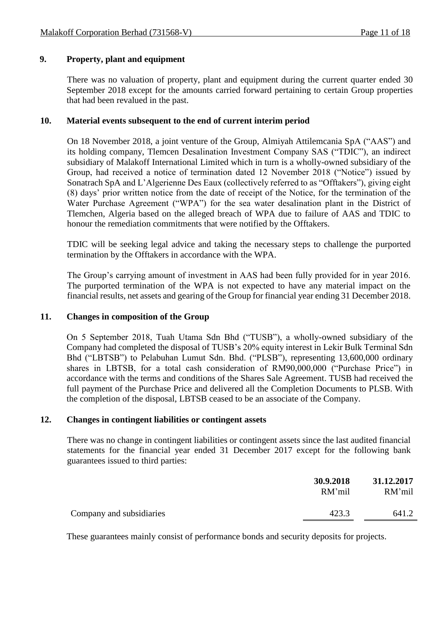## **9. Property, plant and equipment**

There was no valuation of property, plant and equipment during the current quarter ended 30 September 2018 except for the amounts carried forward pertaining to certain Group properties that had been revalued in the past.

## **10. Material events subsequent to the end of current interim period**

On 18 November 2018, a joint venture of the Group, Almiyah Attilemcania SpA ("AAS") and its holding company, Tlemcen Desalination Investment Company SAS ("TDIC"), an indirect subsidiary of Malakoff International Limited which in turn is a wholly-owned subsidiary of the Group, had received a notice of termination dated 12 November 2018 ("Notice") issued by Sonatrach SpA and L'Algerienne Des Eaux (collectively referred to as "Offtakers"), giving eight (8) days' prior written notice from the date of receipt of the Notice, for the termination of the Water Purchase Agreement ("WPA") for the sea water desalination plant in the District of Tlemchen, Algeria based on the alleged breach of WPA due to failure of AAS and TDIC to honour the remediation commitments that were notified by the Offtakers.

TDIC will be seeking legal advice and taking the necessary steps to challenge the purported termination by the Offtakers in accordance with the WPA.

The Group's carrying amount of investment in AAS had been fully provided for in year 2016. The purported termination of the WPA is not expected to have any material impact on the financial results, net assets and gearing of the Group for financial year ending 31 December 2018.

#### **11. Changes in composition of the Group**

On 5 September 2018, Tuah Utama Sdn Bhd ("TUSB"), a wholly-owned subsidiary of the Company had completed the disposal of TUSB's 20% equity interest in Lekir Bulk Terminal Sdn Bhd ("LBTSB") to Pelabuhan Lumut Sdn. Bhd. ("PLSB"), representing 13,600,000 ordinary shares in LBTSB, for a total cash consideration of RM90,000,000 ("Purchase Price") in accordance with the terms and conditions of the Shares Sale Agreement. TUSB had received the full payment of the Purchase Price and delivered all the Completion Documents to PLSB. With the completion of the disposal, LBTSB ceased to be an associate of the Company.

#### **12. Changes in contingent liabilities or contingent assets**

There was no change in contingent liabilities or contingent assets since the last audited financial statements for the financial year ended 31 December 2017 except for the following bank guarantees issued to third parties:

|                          | 30.9.2018<br>RM'mil | 31.12.2017<br>RM'mil |
|--------------------------|---------------------|----------------------|
| Company and subsidiaries | 423.3               | 641.2                |

These guarantees mainly consist of performance bonds and security deposits for projects.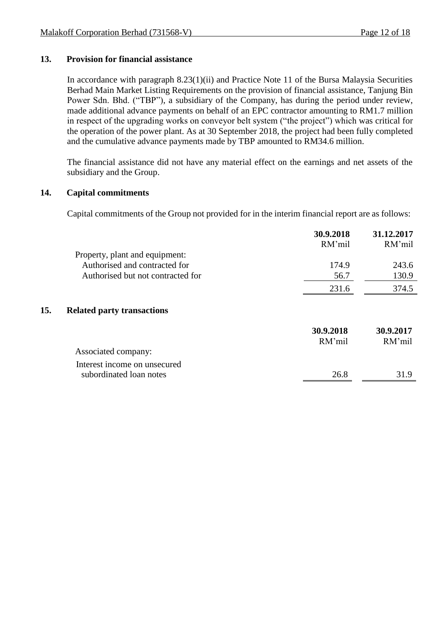## **13. Provision for financial assistance**

In accordance with paragraph 8.23(1)(ii) and Practice Note 11 of the Bursa Malaysia Securities Berhad Main Market Listing Requirements on the provision of financial assistance, Tanjung Bin Power Sdn. Bhd. ("TBP"), a subsidiary of the Company, has during the period under review, made additional advance payments on behalf of an EPC contractor amounting to RM1.7 million in respect of the upgrading works on conveyor belt system ("the project") which was critical for the operation of the power plant. As at 30 September 2018, the project had been fully completed and the cumulative advance payments made by TBP amounted to RM34.6 million.

The financial assistance did not have any material effect on the earnings and net assets of the subsidiary and the Group.

## **14. Capital commitments**

Capital commitments of the Group not provided for in the interim financial report are as follows:

|                                                                 | 30.9.2018<br>RM'mil | 31.12.2017<br>RM'mil |
|-----------------------------------------------------------------|---------------------|----------------------|
| Property, plant and equipment:<br>Authorised and contracted for |                     |                      |
|                                                                 | 174.9               | 243.6                |
| Authorised but not contracted for                               | 56.7                | 130.9                |
|                                                                 | 231.6               | 374.5                |
| 15.<br><b>Related party transactions</b>                        |                     |                      |
|                                                                 | 30.9.2018           | 30.9.2017            |
|                                                                 | RM'mil              | RM'mil               |
| Associated company:                                             |                     |                      |
| Interest income on unsecured                                    |                     |                      |
| subordinated loan notes                                         | 26.8                | 31.9                 |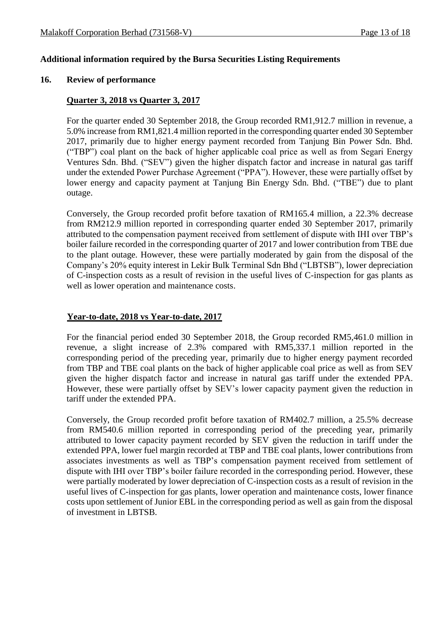### **Additional information required by the Bursa Securities Listing Requirements**

#### **16. Review of performance**

#### **Quarter 3, 2018 vs Quarter 3, 2017**

For the quarter ended 30 September 2018, the Group recorded RM1,912.7 million in revenue, a 5.0% increase from RM1,821.4 million reported in the corresponding quarter ended 30 September 2017, primarily due to higher energy payment recorded from Tanjung Bin Power Sdn. Bhd. ("TBP") coal plant on the back of higher applicable coal price as well as from Segari Energy Ventures Sdn. Bhd. ("SEV") given the higher dispatch factor and increase in natural gas tariff under the extended Power Purchase Agreement ("PPA"). However, these were partially offset by lower energy and capacity payment at Tanjung Bin Energy Sdn. Bhd. ("TBE") due to plant outage.

Conversely, the Group recorded profit before taxation of RM165.4 million, a 22.3% decrease from RM212.9 million reported in corresponding quarter ended 30 September 2017, primarily attributed to the compensation payment received from settlement of dispute with IHI over TBP's boiler failure recorded in the corresponding quarter of 2017 and lower contribution from TBE due to the plant outage. However, these were partially moderated by gain from the disposal of the Company's 20% equity interest in Lekir Bulk Terminal Sdn Bhd ("LBTSB"), lower depreciation of C-inspection costs as a result of revision in the useful lives of C-inspection for gas plants as well as lower operation and maintenance costs.

#### **Year-to-date, 2018 vs Year-to-date, 2017**

For the financial period ended 30 September 2018, the Group recorded RM5,461.0 million in revenue, a slight increase of 2.3% compared with RM5,337.1 million reported in the corresponding period of the preceding year, primarily due to higher energy payment recorded from TBP and TBE coal plants on the back of higher applicable coal price as well as from SEV given the higher dispatch factor and increase in natural gas tariff under the extended PPA. However, these were partially offset by SEV's lower capacity payment given the reduction in tariff under the extended PPA.

Conversely, the Group recorded profit before taxation of RM402.7 million, a 25.5% decrease from RM540.6 million reported in corresponding period of the preceding year, primarily attributed to lower capacity payment recorded by SEV given the reduction in tariff under the extended PPA, lower fuel margin recorded at TBP and TBE coal plants, lower contributions from associates investments as well as TBP's compensation payment received from settlement of dispute with IHI over TBP's boiler failure recorded in the corresponding period. However, these were partially moderated by lower depreciation of C-inspection costs as a result of revision in the useful lives of C-inspection for gas plants, lower operation and maintenance costs, lower finance costs upon settlement of Junior EBL in the corresponding period as well as gain from the disposal of investment in LBTSB.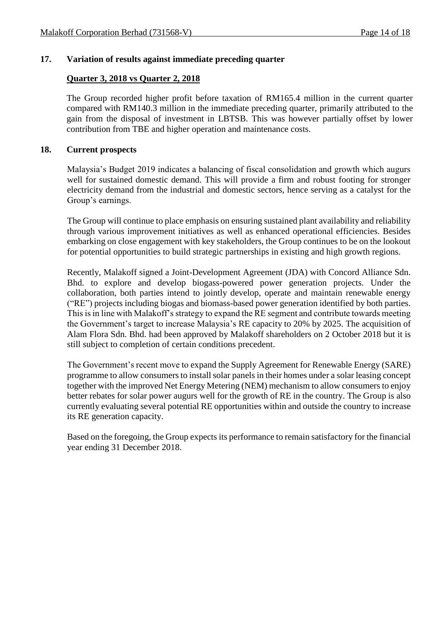#### **17. Variation of results against immediate preceding quarter**

#### **Quarter 3, 2018 vs Quarter 2, 2018**

The Group recorded higher profit before taxation of RM165.4 million in the current quarter compared with RM140.3 million in the immediate preceding quarter, primarily attributed to the gain from the disposal of investment in LBTSB. This was however partially offset by lower contribution from TBE and higher operation and maintenance costs.

#### **18. Current prospects**

Malaysia's Budget 2019 indicates a balancing of fiscal consolidation and growth which augurs well for sustained domestic demand. This will provide a firm and robust footing for stronger electricity demand from the industrial and domestic sectors, hence serving as a catalyst for the Group's earnings.

The Group will continue to place emphasis on ensuring sustained plant availability and reliability through various improvement initiatives as well as enhanced operational efficiencies. Besides embarking on close engagement with key stakeholders, the Group continues to be on the lookout for potential opportunities to build strategic partnerships in existing and high growth regions.

Recently, Malakoff signed a Joint-Development Agreement (JDA) with Concord Alliance Sdn. Bhd. to explore and develop biogass-powered power generation projects. Under the collaboration, both parties intend to jointly develop, operate and maintain renewable energy ("RE") projects including biogas and biomass-based power generation identified by both parties. This is in line with Malakoff's strategy to expand the RE segment and contribute towards meeting the Government's target to increase Malaysia's RE capacity to 20% by 2025. The acquisition of Alam Flora Sdn. Bhd. had been approved by Malakoff shareholders on 2 October 2018 but it is still subject to completion of certain conditions precedent.

The Government's recent move to expand the Supply Agreement for Renewable Energy (SARE) programme to allow consumers to install solar panels in their homes under a solar leasing concept together with the improved Net Energy Metering (NEM) mechanism to allow consumers to enjoy better rebates for solar power augurs well for the growth of RE in the country. The Group is also currently evaluating several potential RE opportunities within and outside the country to increase its RE generation capacity.

Based on the foregoing, the Group expects its performance to remain satisfactory for the financial year ending 31 December 2018.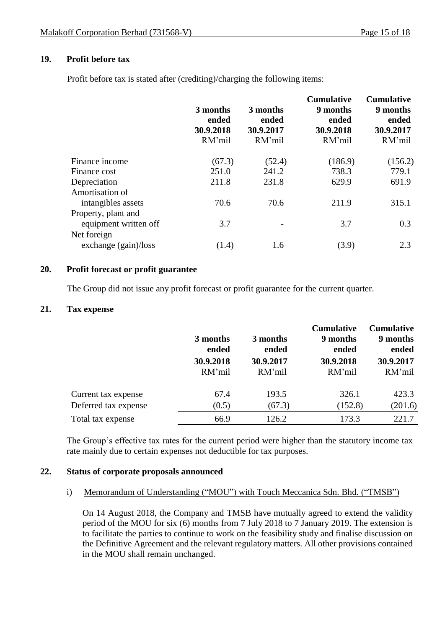## **19. Profit before tax**

Profit before tax is stated after (crediting)/charging the following items:

|                        | 3 months<br>ended<br>30.9.2018<br>RM'mil | 3 months<br>ended<br>30.9.2017<br>RM'mil | <b>Cumulative</b><br>9 months<br>ended<br>30.9.2018<br>RM'mil | <b>Cumulative</b><br>9 months<br>ended<br>30.9.2017<br>RM'mil |
|------------------------|------------------------------------------|------------------------------------------|---------------------------------------------------------------|---------------------------------------------------------------|
| Finance income         | (67.3)                                   | (52.4)                                   | (186.9)                                                       | (156.2)                                                       |
| Finance cost           | 251.0                                    | 241.2                                    | 738.3                                                         | 779.1                                                         |
| Depreciation           | 211.8                                    | 231.8                                    | 629.9                                                         | 691.9                                                         |
| Amortisation of        |                                          |                                          |                                                               |                                                               |
| intangibles assets     | 70.6                                     | 70.6                                     | 211.9                                                         | 315.1                                                         |
| Property, plant and    |                                          |                                          |                                                               |                                                               |
| equipment written off  | 3.7                                      |                                          | 3.7                                                           | 0.3                                                           |
| Net foreign            |                                          |                                          |                                                               |                                                               |
| exchange $(gain)/loss$ | (1.4)                                    | 1.6                                      | (3.9)                                                         | 2.3                                                           |
|                        |                                          |                                          |                                                               |                                                               |

#### **20. Profit forecast or profit guarantee**

The Group did not issue any profit forecast or profit guarantee for the current quarter.

## **21. Tax expense**

|                      | 3 months<br>ended | 3 months<br>ended | <b>Cumulative</b><br>9 months<br>ended | <b>Cumulative</b><br>9 months<br>ended |
|----------------------|-------------------|-------------------|----------------------------------------|----------------------------------------|
|                      | 30.9.2018         | 30.9.2017         | 30.9.2018                              | 30.9.2017                              |
|                      | RM'mil            | RM'mil            | RM'mil                                 | RM'mil                                 |
| Current tax expense  | 67.4              | 193.5             | 326.1                                  | 423.3                                  |
| Deferred tax expense | (0.5)             | (67.3)            | (152.8)                                | (201.6)                                |
| Total tax expense    | 66.9              | 126.2             | 173.3                                  | 221.7                                  |

The Group's effective tax rates for the current period were higher than the statutory income tax rate mainly due to certain expenses not deductible for tax purposes.

## **22. Status of corporate proposals announced**

i) Memorandum of Understanding ("MOU") with Touch Meccanica Sdn. Bhd. ("TMSB")

On 14 August 2018, the Company and TMSB have mutually agreed to extend the validity period of the MOU for six (6) months from 7 July 2018 to 7 January 2019. The extension is to facilitate the parties to continue to work on the feasibility study and finalise discussion on the Definitive Agreement and the relevant regulatory matters. All other provisions contained in the MOU shall remain unchanged.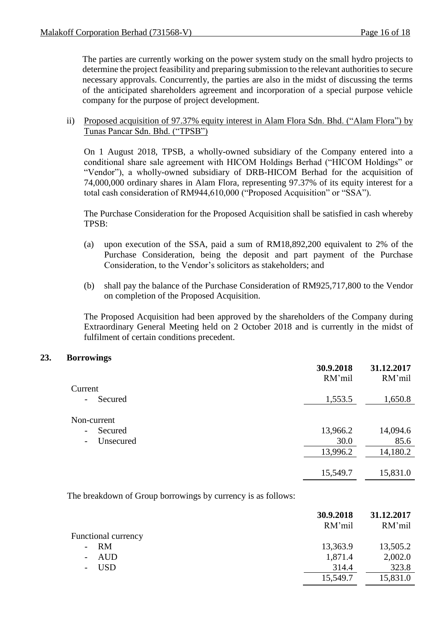The parties are currently working on the power system study on the small hydro projects to determine the project feasibility and preparing submission to the relevant authorities to secure necessary approvals. Concurrently, the parties are also in the midst of discussing the terms of the anticipated shareholders agreement and incorporation of a special purpose vehicle company for the purpose of project development.

#### ii) Proposed acquisition of 97.37% equity interest in Alam Flora Sdn. Bhd. ("Alam Flora") by Tunas Pancar Sdn. Bhd. ("TPSB")

On 1 August 2018, TPSB, a wholly-owned subsidiary of the Company entered into a conditional share sale agreement with HICOM Holdings Berhad ("HICOM Holdings" or "Vendor"), a wholly-owned subsidiary of DRB-HICOM Berhad for the acquisition of 74,000,000 ordinary shares in Alam Flora, representing 97.37% of its equity interest for a total cash consideration of RM944,610,000 ("Proposed Acquisition" or "SSA").

The Purchase Consideration for the Proposed Acquisition shall be satisfied in cash whereby TPSB:

- (a) upon execution of the SSA, paid a sum of RM18,892,200 equivalent to 2% of the Purchase Consideration, being the deposit and part payment of the Purchase Consideration, to the Vendor's solicitors as stakeholders; and
- (b) shall pay the balance of the Purchase Consideration of RM925,717,800 to the Vendor on completion of the Proposed Acquisition.

The Proposed Acquisition had been approved by the shareholders of the Company during Extraordinary General Meeting held on 2 October 2018 and is currently in the midst of fulfilment of certain conditions precedent.

#### **23. Borrowings**

|                                         | 30.9.2018<br>RM'mil | 31.12.2017<br>RM'mil |
|-----------------------------------------|---------------------|----------------------|
| Current                                 |                     |                      |
| Secured<br>$\overline{\phantom{a}}$     | 1,553.5             | 1,650.8              |
| Non-current                             |                     |                      |
| Secured<br>$\qquad \qquad \blacksquare$ | 13,966.2            | 14,094.6             |
| Unsecured<br>$\overline{\phantom{a}}$   | 30.0                | 85.6                 |
|                                         | 13,996.2            | 14,180.2             |
|                                         | 15,549.7            | 15,831.0             |

The breakdown of Group borrowings by currency is as follows:

|                            | 30.9.2018<br>RM'mil | 31.12.2017<br>RM'mil |
|----------------------------|---------------------|----------------------|
| <b>Functional currency</b> |                     |                      |
| - RM                       | 13,363.9            | 13,505.2             |
| - AUD                      | 1,871.4             | 2,002.0              |
| - USD                      | 314.4               | 323.8                |
|                            | 15,549.7            | 15,831.0             |
|                            |                     |                      |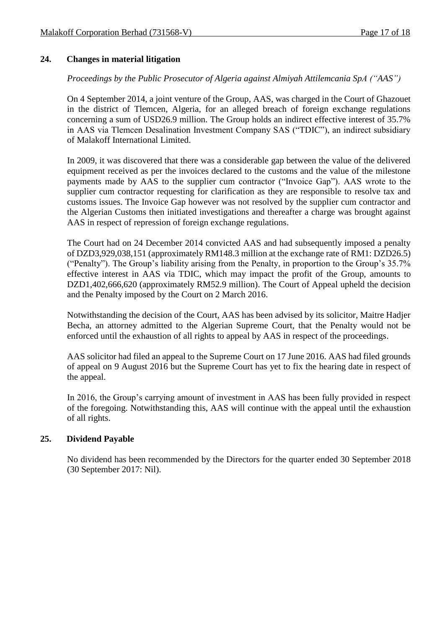## **24. Changes in material litigation**

*Proceedings by the Public Prosecutor of Algeria against Almiyah Attilemcania SpA ("AAS")*

On 4 September 2014, a joint venture of the Group, AAS, was charged in the Court of Ghazouet in the district of Tlemcen, Algeria, for an alleged breach of foreign exchange regulations concerning a sum of USD26.9 million. The Group holds an indirect effective interest of 35.7% in AAS via Tlemcen Desalination Investment Company SAS ("TDIC"), an indirect subsidiary of Malakoff International Limited.

In 2009, it was discovered that there was a considerable gap between the value of the delivered equipment received as per the invoices declared to the customs and the value of the milestone payments made by AAS to the supplier cum contractor ("Invoice Gap"). AAS wrote to the supplier cum contractor requesting for clarification as they are responsible to resolve tax and customs issues. The Invoice Gap however was not resolved by the supplier cum contractor and the Algerian Customs then initiated investigations and thereafter a charge was brought against AAS in respect of repression of foreign exchange regulations.

The Court had on 24 December 2014 convicted AAS and had subsequently imposed a penalty of DZD3,929,038,151 (approximately RM148.3 million at the exchange rate of RM1: DZD26.5) ("Penalty"). The Group's liability arising from the Penalty, in proportion to the Group's 35.7% effective interest in AAS via TDIC, which may impact the profit of the Group, amounts to DZD1,402,666,620 (approximately RM52.9 million). The Court of Appeal upheld the decision and the Penalty imposed by the Court on 2 March 2016.

Notwithstanding the decision of the Court, AAS has been advised by its solicitor, Maitre Hadjer Becha, an attorney admitted to the Algerian Supreme Court, that the Penalty would not be enforced until the exhaustion of all rights to appeal by AAS in respect of the proceedings.

AAS solicitor had filed an appeal to the Supreme Court on 17 June 2016. AAS had filed grounds of appeal on 9 August 2016 but the Supreme Court has yet to fix the hearing date in respect of the appeal.

In 2016, the Group's carrying amount of investment in AAS has been fully provided in respect of the foregoing. Notwithstanding this, AAS will continue with the appeal until the exhaustion of all rights.

## **25. Dividend Payable**

No dividend has been recommended by the Directors for the quarter ended 30 September 2018 (30 September 2017: Nil).